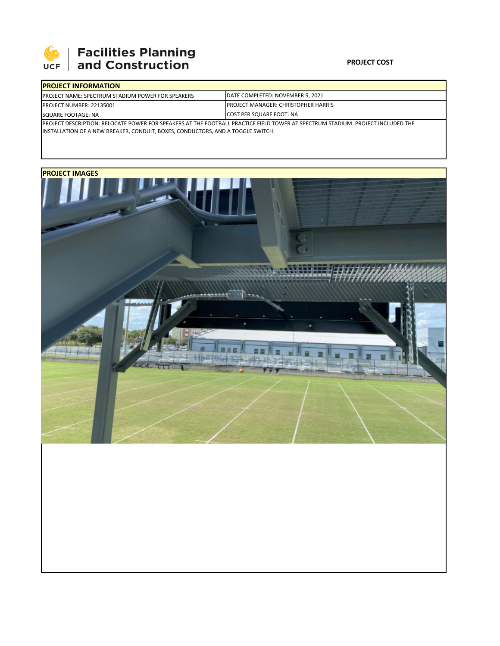

## **Facilities Planning**<br>and Construction

## **PROJECT COST**

| <b>IPROJECT INFORMATION</b>                                                                                                      |                                             |  |  |  |
|----------------------------------------------------------------------------------------------------------------------------------|---------------------------------------------|--|--|--|
| <b>IPROJECT NAME: SPECTRUM STADIUM POWER FOR SPEAKERS</b>                                                                        | DATE COMPLETED: NOVEMBER 5, 2021            |  |  |  |
| <b>IPROJECT NUMBER: 22135001</b>                                                                                                 | <b>IPROJECT MANAGER: CHRISTOPHER HARRIS</b> |  |  |  |
| SQUARE FOOTAGE: NA                                                                                                               | <b>ICOST PER SQUARE FOOT: NA</b>            |  |  |  |
| IPROJECT DESCRIPTION: RELOCATE POWER FOR SPEAKERS AT THE FOOTBALL PRACTICE FIELD TOWER AT SPECTRUM STADIUM. PROJECT INCLUDED THE |                                             |  |  |  |

INSTALLATION OF A NEW BREAKER, CONDUIT, BOXES, CONDUCTORS, AND A TOGGLE SWITCH.